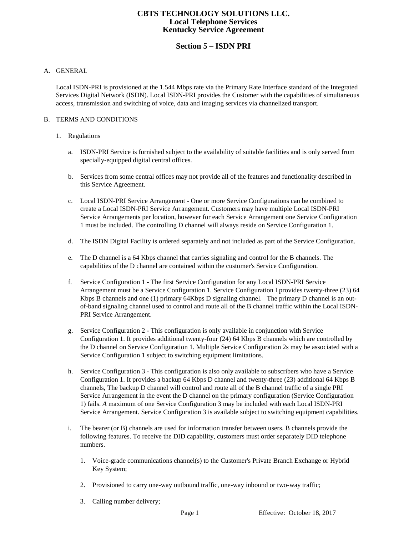# **CBTS TECHNOLOGY SOLUTIONS LLC. Local Telephone Services Kentucky Service Agreement**

# **Section 5 – ISDN PRI**

#### A. GENERAL

Local ISDN-PRI is provisioned at the 1.544 Mbps rate via the Primary Rate Interface standard of the Integrated Services Digital Network (ISDN). Local ISDN-PRI provides the Customer with the capabilities of simultaneous access, transmission and switching of voice, data and imaging services via channelized transport.

#### B. TERMS AND CONDITIONS

#### 1. Regulations

- a. ISDN-PRI Service is furnished subject to the availability of suitable facilities and is only served from specially-equipped digital central offices.
- b. Services from some central offices may not provide all of the features and functionality described in this Service Agreement.
- c. Local ISDN-PRI Service Arrangement One or more Service Configurations can be combined to create a Local ISDN-PRI Service Arrangement. Customers may have multiple Local ISDN-PRI Service Arrangements per location, however for each Service Arrangement one Service Configuration 1 must be included. The controlling D channel will always reside on Service Configuration 1.
- d. The ISDN Digital Facility is ordered separately and not included as part of the Service Configuration.
- e. The D channel is a 64 Kbps channel that carries signaling and control for the B channels. The capabilities of the D channel are contained within the customer's Service Configuration.
- f. Service Configuration 1 The first Service Configuration for any Local ISDN-PRI Service Arrangement must be a Service Configuration 1. Service Configuration I provides twenty-three (23) 64 Kbps B channels and one (1) primary 64Kbps D signaling channel. The primary D channel is an outof-band signaling channel used to control and route all of the B channel traffic within the Local ISDN-PRI Service Arrangement.
- g. Service Configuration 2 This configuration is only available in conjunction with Service Configuration 1. It provides additional twenty-four (24) 64 Kbps B channels which are controlled by the D channel on Service Configuration 1. Multiple Service Configuration 2s may be associated with a Service Configuration 1 subject to switching equipment limitations.
- h. Service Configuration 3 This configuration is also only available to subscribers who have a Service Configuration 1. It provides a backup 64 Kbps D channel and twenty-three (23) additional 64 Kbps B channels, The backup D channel will control and route all of the B channel traffic of a single PRI Service Arrangement in the event the D channel on the primary configuration (Service Configuration 1) fails. *A* maximum of one Service Configuration 3 may be included with each Local ISDN-PRI Service Arrangement. Service Configuration 3 is available subject to switching equipment capabilities.
- i. The bearer (or B) channels are used for information transfer between users. B channels provide the following features. To receive the DID capability, customers must order separately DID telephone numbers.
	- 1. Voice-grade communications channel(s) to the Customer's Private Branch Exchange or Hybrid Key System;
	- 2. Provisioned to carry one-way outbound traffic, one-way inbound or two-way traffic;
	- 3. Calling number delivery;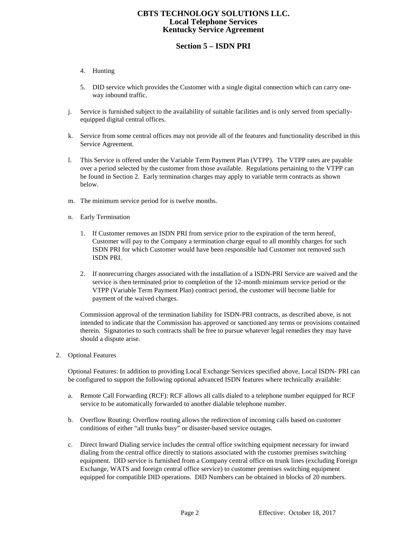# **CBTS TECHNOLOGY SOLUTIONS LLC. Local Telephone Services Kentucky Service Agreement**

# **Section 5 – ISDN PRI**

- 4. Hunting
- 5. DID service which provides the Customer with a single digital connection which can carry oneway inbound traffic.
- j. Service is furnished subject to the availability of suitable facilities and is only served from speciallyequipped digital central offices.
- k. Service from some central offices may not provide all of the features and functionality described in this Service Agreement.
- l. This Service is offered under the Variable Term Payment Plan (VTPP). The VTPP rates are payable over a period selected by the customer from those available. Regulations pertaining to the VTPP can be found in Section 2. Early termination charges may apply to variable term contracts as shown below.
- m. The minimum service period for is twelve months.
- n. Early Termination
	- 1. If Customer removes an ISDN PRI from service prior to the expiration of the term hereof, Customer will pay to the Company a termination charge equal to all monthly charges for such ISDN PRI for which Customer would have been responsible had Customer not removed such ISDN PRI.
	- 2. If nonrecurring charges associated with the installation of a ISDN-PRI Service are waived and the service is then terminated prior to completion of the 12-month minimum service period or the VTPP (Variable Term Payment Plan) contract period, the customer will become liable for payment of the waived charges.

Commission approval of the termination liability for ISDN-PRI contracts, as described above, is not intended to indicate that the Commission has approved or sanctioned any terms or provisions contained therein. Signatories to such contracts shall be free to pursue whatever legal remedies they may have should a dispute arise.

2. Optional Features

Optional Features: In addition to providing Local Exchange Services specified above, Local ISDN- PRI can be configured to support the following optional advanced ISDN features where technically available:

- a. Remote Call Forwarding (RCF): RCF allows all calls dialed to a telephone number equipped for RCF service to be automatically forwarded to another dialable telephone number.
- b. Overflow Routing: Overflow routing allows the redirection of incoming calls based on customer conditions of either "all trunks busy" or disaster-based service outages.
- c. Direct Inward Dialing service includes the central office switching equipment necessary for inward dialing from the central office directly to stations associated with the customer premises switching equipment. DID service is furnished from a Company central office on trunk lines (excluding Foreign Exchange, WATS and foreign central office service) to customer premises switching equipment equipped for compatible DID operations. DID Numbers can be obtained in blocks of 20 numbers.